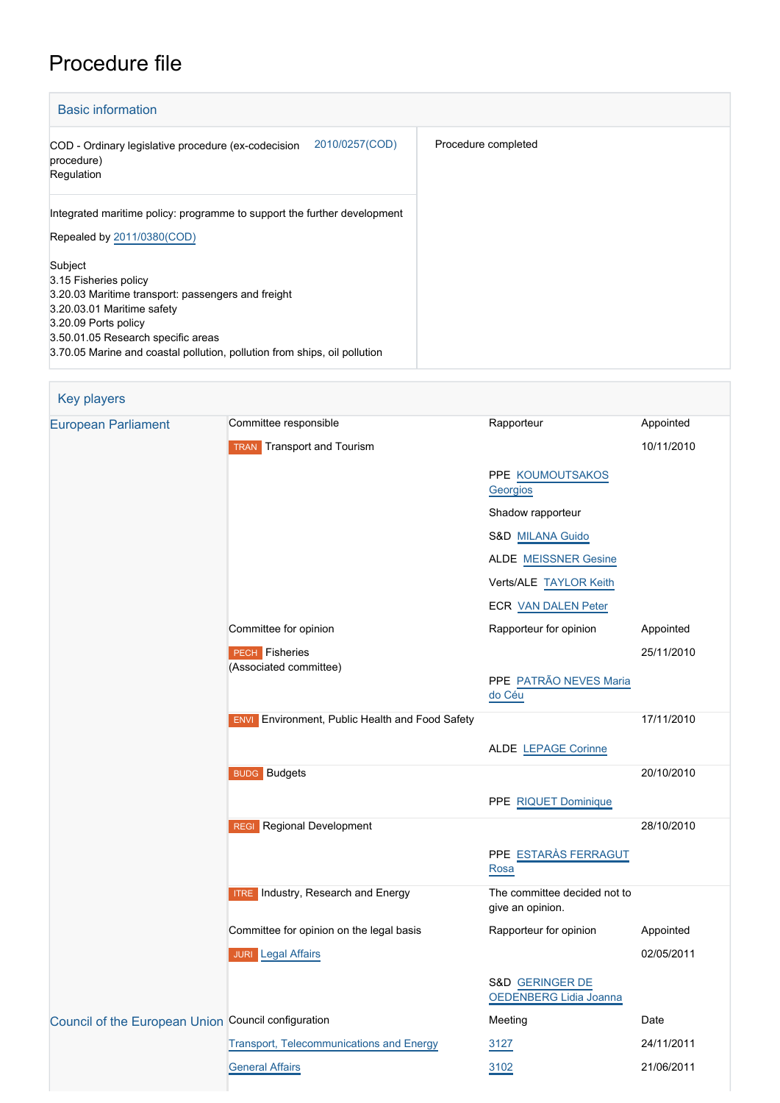# Procedure file

| <b>Basic information</b>                                                                                                                                                                                                                                        |                     |
|-----------------------------------------------------------------------------------------------------------------------------------------------------------------------------------------------------------------------------------------------------------------|---------------------|
| 2010/0257(COD)<br>COD - Ordinary legislative procedure (ex-codecision<br>procedure)<br>Regulation                                                                                                                                                               | Procedure completed |
| Integrated maritime policy: programme to support the further development<br>Repealed by 2011/0380(COD)                                                                                                                                                          |                     |
| Subject<br>3.15 Fisheries policy<br>3.20.03 Maritime transport: passengers and freight<br>3.20.03.01 Maritime safety<br>3.20.09 Ports policy<br>3.50.01.05 Research specific areas<br>3.70.05 Marine and coastal pollution, pollution from ships, oil pollution |                     |

| <b>Key players</b>                                  |                                                           |                                                  |            |
|-----------------------------------------------------|-----------------------------------------------------------|--------------------------------------------------|------------|
| <b>European Parliament</b>                          | Committee responsible                                     | Rapporteur                                       | Appointed  |
|                                                     | <b>TRAN</b> Transport and Tourism                         |                                                  | 10/11/2010 |
|                                                     |                                                           | PPE KOUMOUTSAKOS<br>Georgios                     |            |
|                                                     |                                                           | Shadow rapporteur                                |            |
|                                                     |                                                           | S&D MILANA Guido                                 |            |
|                                                     |                                                           | <b>ALDE</b> MEISSNER Gesine                      |            |
|                                                     |                                                           | Verts/ALE TAYLOR Keith                           |            |
|                                                     |                                                           | ECR VAN DALEN Peter                              |            |
|                                                     | Committee for opinion                                     | Rapporteur for opinion                           | Appointed  |
|                                                     | <b>PECH</b> Fisheries                                     |                                                  | 25/11/2010 |
|                                                     | (Associated committee)                                    | PPE PATRÃO NEVES Maria<br>do Céu                 |            |
|                                                     | Environment, Public Health and Food Safety<br><b>ENVI</b> |                                                  | 17/11/2010 |
|                                                     |                                                           | ALDE LEPAGE Corinne                              |            |
|                                                     | <b>BUDG</b> Budgets                                       |                                                  | 20/10/2010 |
|                                                     |                                                           | PPE RIQUET Dominique                             |            |
|                                                     | <b>REGI</b> Regional Development                          |                                                  | 28/10/2010 |
|                                                     |                                                           | PPE ESTARÀS FERRAGUT<br>Rosa                     |            |
|                                                     | <b>ITRE</b> Industry, Research and Energy                 | The committee decided not to<br>give an opinion. |            |
|                                                     | Committee for opinion on the legal basis                  | Rapporteur for opinion                           | Appointed  |
|                                                     | <b>JURI</b> Legal Affairs                                 |                                                  | 02/05/2011 |
|                                                     |                                                           | S&D GERINGER DE<br>OEDENBERG Lidia Joanna        |            |
| Council of the European Union Council configuration |                                                           | Meeting                                          | Date       |
|                                                     | Transport, Telecommunications and Energy                  | 3127                                             | 24/11/2011 |
|                                                     | <b>General Affairs</b>                                    | 3102                                             | 21/06/2011 |
|                                                     |                                                           |                                                  |            |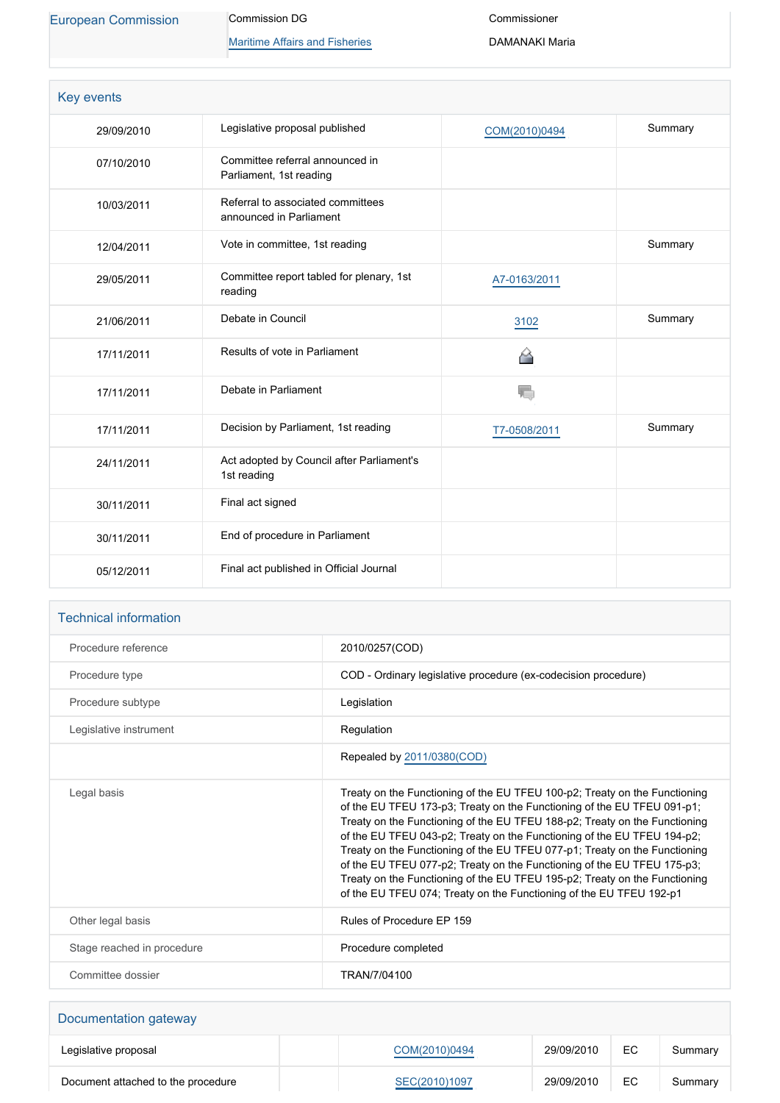[European Commission](http://ec.europa.eu/) Commission DG

**[Maritime Affairs and Fisheries](http://ec.europa.eu/info/departments/maritime-affairs-and-fisheries_en)** 

Commissioner DAMANAKI Maria

| <b>Key events</b> |                                                              |               |         |
|-------------------|--------------------------------------------------------------|---------------|---------|
| 29/09/2010        | Legislative proposal published                               | COM(2010)0494 | Summary |
| 07/10/2010        | Committee referral announced in<br>Parliament, 1st reading   |               |         |
| 10/03/2011        | Referral to associated committees<br>announced in Parliament |               |         |
| 12/04/2011        | Vote in committee, 1st reading                               |               | Summary |
| 29/05/2011        | Committee report tabled for plenary, 1st<br>reading          | A7-0163/2011  |         |
| 21/06/2011        | Debate in Council                                            | 3102          | Summary |
| 17/11/2011        | Results of vote in Parliament                                | △             |         |
| 17/11/2011        | Debate in Parliament                                         | T.            |         |
| 17/11/2011        | Decision by Parliament, 1st reading                          | T7-0508/2011  | Summary |
| 24/11/2011        | Act adopted by Council after Parliament's<br>1st reading     |               |         |
| 30/11/2011        | Final act signed                                             |               |         |
| 30/11/2011        | End of procedure in Parliament                               |               |         |
| 05/12/2011        | Final act published in Official Journal                      |               |         |

| Procedure reference        | 2010/0257(COD)                                                                                                                                                                                                                                                                                                                                                                                                                                                                                                                                                                                                               |
|----------------------------|------------------------------------------------------------------------------------------------------------------------------------------------------------------------------------------------------------------------------------------------------------------------------------------------------------------------------------------------------------------------------------------------------------------------------------------------------------------------------------------------------------------------------------------------------------------------------------------------------------------------------|
| Procedure type             | COD - Ordinary legislative procedure (ex-codecision procedure)                                                                                                                                                                                                                                                                                                                                                                                                                                                                                                                                                               |
| Procedure subtype          | Legislation                                                                                                                                                                                                                                                                                                                                                                                                                                                                                                                                                                                                                  |
| Legislative instrument     | Regulation                                                                                                                                                                                                                                                                                                                                                                                                                                                                                                                                                                                                                   |
|                            | Repealed by 2011/0380(COD)                                                                                                                                                                                                                                                                                                                                                                                                                                                                                                                                                                                                   |
| Legal basis                | Treaty on the Functioning of the EU TFEU 100-p2; Treaty on the Functioning<br>of the EU TFEU 173-p3; Treaty on the Functioning of the EU TFEU 091-p1;<br>Treaty on the Functioning of the EU TFEU 188-p2; Treaty on the Functioning<br>of the EU TFEU 043-p2; Treaty on the Functioning of the EU TFEU 194-p2;<br>Treaty on the Functioning of the EU TFEU 077-p1; Treaty on the Functioning<br>of the EU TFEU 077-p2; Treaty on the Functioning of the EU TFEU 175-p3;<br>Treaty on the Functioning of the EU TFEU 195-p2; Treaty on the Functioning<br>of the EU TFEU 074; Treaty on the Functioning of the EU TFEU 192-p1 |
| Other legal basis          | Rules of Procedure EP 159                                                                                                                                                                                                                                                                                                                                                                                                                                                                                                                                                                                                    |
| Stage reached in procedure | Procedure completed                                                                                                                                                                                                                                                                                                                                                                                                                                                                                                                                                                                                          |
| Committee dossier          | TRAN/7/04100                                                                                                                                                                                                                                                                                                                                                                                                                                                                                                                                                                                                                 |

| Documentation gateway              |               |            |    |         |
|------------------------------------|---------------|------------|----|---------|
| Legislative proposal               | COM(2010)0494 | 29/09/2010 | EC | Summary |
| Document attached to the procedure | SEC(2010)1097 | 29/09/2010 | EC | Summary |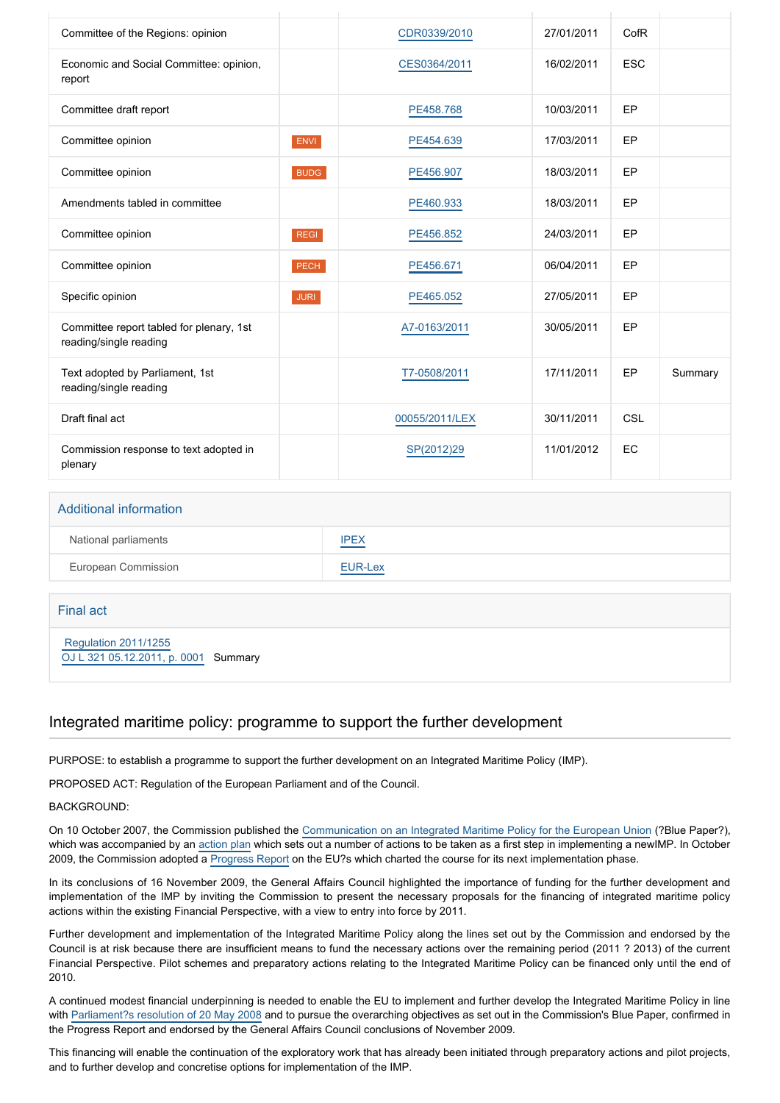| Committee of the Regions: opinion                                  |             | CDR0339/2010   | 27/01/2011 | CofR       |         |
|--------------------------------------------------------------------|-------------|----------------|------------|------------|---------|
| Economic and Social Committee: opinion,<br>report                  |             | CES0364/2011   | 16/02/2011 | <b>ESC</b> |         |
| Committee draft report                                             |             | PE458.768      | 10/03/2011 | EP         |         |
| Committee opinion                                                  | <b>ENVI</b> | PE454.639      | 17/03/2011 | EP         |         |
| Committee opinion                                                  | <b>BUDG</b> | PE456.907      | 18/03/2011 | EP         |         |
| Amendments tabled in committee                                     |             | PE460.933      | 18/03/2011 | EP         |         |
| Committee opinion                                                  | <b>REGI</b> | PE456.852      | 24/03/2011 | EP         |         |
| Committee opinion                                                  | <b>PECH</b> | PE456.671      | 06/04/2011 | EP         |         |
| Specific opinion                                                   | <b>JURI</b> | PE465.052      | 27/05/2011 | EP         |         |
| Committee report tabled for plenary, 1st<br>reading/single reading |             | A7-0163/2011   | 30/05/2011 | EP         |         |
| Text adopted by Parliament, 1st<br>reading/single reading          |             | T7-0508/2011   | 17/11/2011 | EP         | Summary |
| Draft final act                                                    |             | 00055/2011/LEX | 30/11/2011 | CSL        |         |
| Commission response to text adopted in<br>plenary                  |             | SP(2012)29     | 11/01/2012 | EC         |         |

#### Additional information

| National parliaments | <b>IPEX</b> |
|----------------------|-------------|
| European Commission  | EUR-Lex     |

Final act

 [Regulation 2011/1255](https://eur-lex.europa.eu/smartapi/cgi/sga_doc?smartapi!celexplus!prod!CELEXnumdoc&lg=EN&numdoc=32011R1255) [OJ L 321 05.12.2011, p. 0001](https://eur-lex.europa.eu/legal-content/EN/TXT/?uri=OJ:L:2011:321:TOC) Summary

#### Integrated maritime policy: programme to support the further development

PURPOSE: to establish a programme to support the further development on an Integrated Maritime Policy (IMP).

PROPOSED ACT: Regulation of the European Parliament and of the Council.

BACKGROUND:

On 10 October 2007, the Commission published the [Communication on an Integrated Maritime Policy for the European Union](http://www.europarl.europa.eu/oeil/FindByProcnum.do?lang=en&procnum=INI/2008/2009) (?Blue Paper?), which was accompanied by an [action plan](http://eur-lex.europa.eu/LexUriServ/LexUriServ.do?uri=SEC:2007:1278:FIN:EN:PDF) which sets out a number of actions to be taken as a first step in implementing a newIMP. In October 2009, the Commission adopted a [Progress Report](http://eur-lex.europa.eu/LexUriServ/LexUriServ.do?uri=COM:2009:0540:FIN:EN:PDF) on the EU?s which charted the course for its next implementation phase.

In its conclusions of 16 November 2009, the General Affairs Council highlighted the importance of funding for the further development and implementation of the IMP by inviting the Commission to present the necessary proposals for the financing of integrated maritime policy actions within the existing Financial Perspective, with a view to entry into force by 2011.

Further development and implementation of the Integrated Maritime Policy along the lines set out by the Commission and endorsed by the Council is at risk because there are insufficient means to fund the necessary actions over the remaining period (2011 ? 2013) of the current Financial Perspective. Pilot schemes and preparatory actions relating to the Integrated Maritime Policy can be financed only until the end of 2010.

A continued modest financial underpinning is needed to enable the EU to implement and further develop the Integrated Maritime Policy in line with [Parliament?s resolution of 20 May 2008](http://www.europarl.europa.eu/oeil/FindByProcnum.do?lang=en&procnum=INI/2008/2009) and to pursue the overarching objectives as set out in the Commission's Blue Paper, confirmed in the Progress Report and endorsed by the General Affairs Council conclusions of November 2009.

This financing will enable the continuation of the exploratory work that has already been initiated through preparatory actions and pilot projects, and to further develop and concretise options for implementation of the IMP.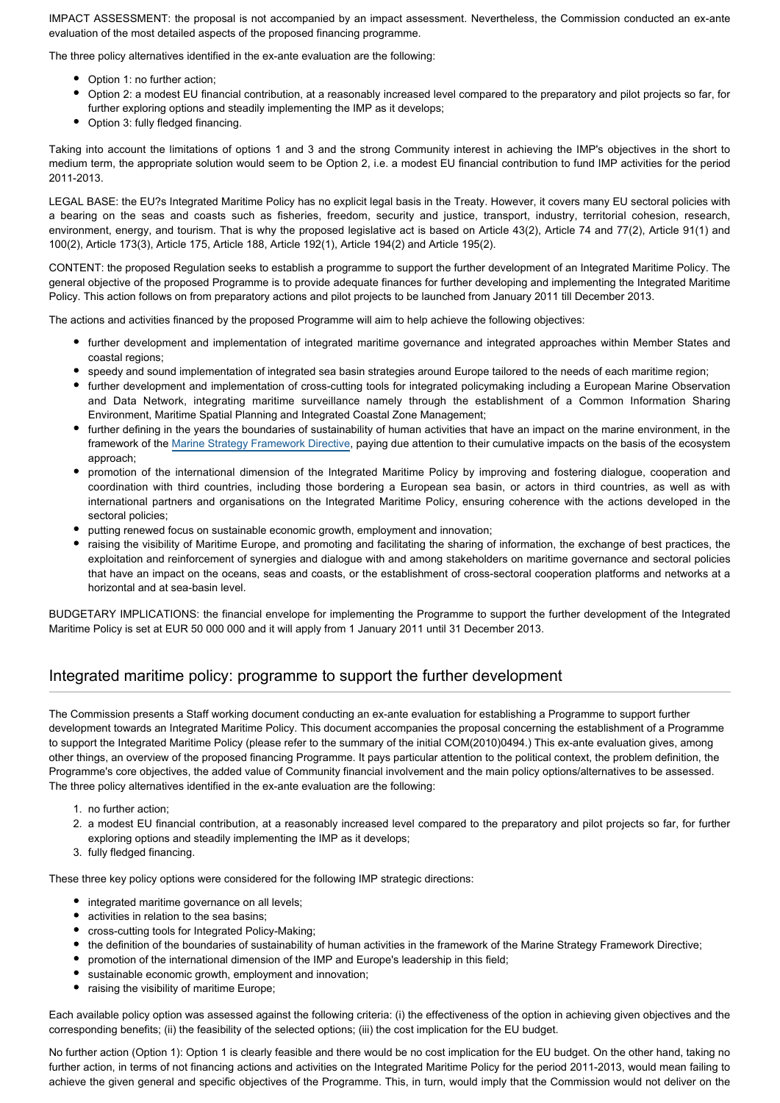IMPACT ASSESSMENT: the proposal is not accompanied by an impact assessment. Nevertheless, the Commission conducted an ex-ante evaluation of the most detailed aspects of the proposed financing programme.

The three policy alternatives identified in the ex-ante evaluation are the following:

- Option 1: no further action;
- Option 2: a modest EU financial contribution, at a reasonably increased level compared to the preparatory and pilot projects so far, for further exploring options and steadily implementing the IMP as it develops;
- Option 3: fully fledged financing.

Taking into account the limitations of options 1 and 3 and the strong Community interest in achieving the IMP's objectives in the short to medium term, the appropriate solution would seem to be Option 2, i.e. a modest EU financial contribution to fund IMP activities for the period 2011-2013.

LEGAL BASE: the EU?s Integrated Maritime Policy has no explicit legal basis in the Treaty. However, it covers many EU sectoral policies with a bearing on the seas and coasts such as fisheries, freedom, security and justice, transport, industry, territorial cohesion, research, environment, energy, and tourism. That is why the proposed legislative act is based on Article 43(2), Article 74 and 77(2), Article 91(1) and 100(2), Article 173(3), Article 175, Article 188, Article 192(1), Article 194(2) and Article 195(2).

CONTENT: the proposed Regulation seeks to establish a programme to support the further development of an Integrated Maritime Policy. The general objective of the proposed Programme is to provide adequate finances for further developing and implementing the Integrated Maritime Policy. This action follows on from preparatory actions and pilot projects to be launched from January 2011 till December 2013.

The actions and activities financed by the proposed Programme will aim to help achieve the following objectives:

- further development and implementation of integrated maritime governance and integrated approaches within Member States and coastal regions;
- speedy and sound implementation of integrated sea basin strategies around Europe tailored to the needs of each maritime region;
- further development and implementation of cross-cutting tools for integrated policymaking including a European Marine Observation and Data Network, integrating maritime surveillance namely through the establishment of a Common Information Sharing Environment, Maritime Spatial Planning and Integrated Coastal Zone Management;
- further defining in the years the boundaries of sustainability of human activities that have an impact on the marine environment, in the framework of the [Marine Strategy Framework Directive](http://www.europarl.europa.eu/oeil/FindByProcnum.do?lang=en&procnum=COD/2005/0211), paying due attention to their cumulative impacts on the basis of the ecosystem approach;
- promotion of the international dimension of the Integrated Maritime Policy by improving and fostering dialogue, cooperation and coordination with third countries, including those bordering a European sea basin, or actors in third countries, as well as with international partners and organisations on the Integrated Maritime Policy, ensuring coherence with the actions developed in the sectoral policies;
- putting renewed focus on sustainable economic growth, employment and innovation;
- raising the visibility of Maritime Europe, and promoting and facilitating the sharing of information, the exchange of best practices, the exploitation and reinforcement of synergies and dialogue with and among stakeholders on maritime governance and sectoral policies that have an impact on the oceans, seas and coasts, or the establishment of cross-sectoral cooperation platforms and networks at a horizontal and at sea-basin level.

BUDGETARY IMPLICATIONS: the financial envelope for implementing the Programme to support the further development of the Integrated Maritime Policy is set at EUR 50 000 000 and it will apply from 1 January 2011 until 31 December 2013.

# Integrated maritime policy: programme to support the further development

The Commission presents a Staff working document conducting an ex-ante evaluation for establishing a Programme to support further development towards an Integrated Maritime Policy. This document accompanies the proposal concerning the establishment of a Programme to support the Integrated Maritime Policy (please refer to the summary of the initial COM(2010)0494.) This ex-ante evaluation gives, among other things, an overview of the proposed financing Programme. It pays particular attention to the political context, the problem definition, the Programme's core objectives, the added value of Community financial involvement and the main policy options/alternatives to be assessed. The three policy alternatives identified in the ex-ante evaluation are the following:

- 1. no further action;
- 2. a modest EU financial contribution, at a reasonably increased level compared to the preparatory and pilot projects so far, for further exploring options and steadily implementing the IMP as it develops;
- 3. fully fledged financing.

These three key policy options were considered for the following IMP strategic directions:

- integrated maritime governance on all levels;
- activities in relation to the sea basins;
- cross-cutting tools for Integrated Policy-Making;
- the definition of the boundaries of sustainability of human activities in the framework of the Marine Strategy Framework Directive;
- promotion of the international dimension of the IMP and Europe's leadership in this field;
- sustainable economic growth, employment and innovation;
- raising the visibility of maritime Europe;

Each available policy option was assessed against the following criteria: (i) the effectiveness of the option in achieving given objectives and the corresponding benefits; (ii) the feasibility of the selected options; (iii) the cost implication for the EU budget.

No further action (Option 1): Option 1 is clearly feasible and there would be no cost implication for the EU budget. On the other hand, taking no further action, in terms of not financing actions and activities on the Integrated Maritime Policy for the period 2011-2013, would mean failing to achieve the given general and specific objectives of the Programme. This, in turn, would imply that the Commission would not deliver on the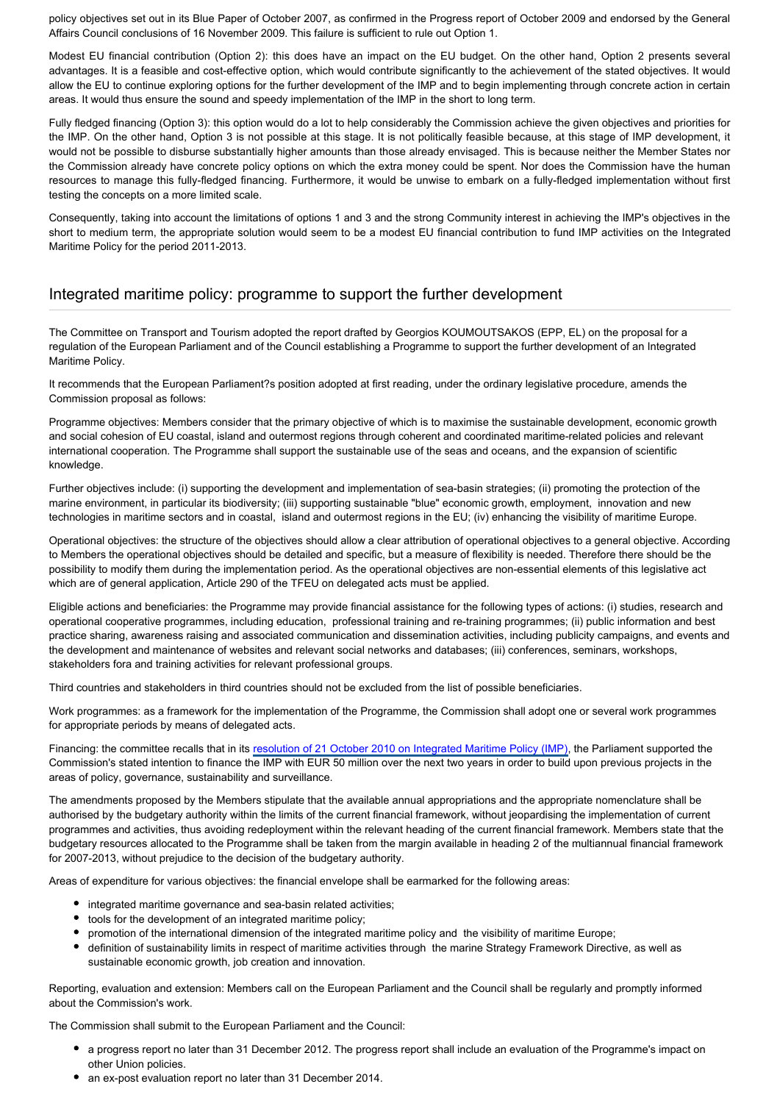policy objectives set out in its Blue Paper of October 2007, as confirmed in the Progress report of October 2009 and endorsed by the General Affairs Council conclusions of 16 November 2009. This failure is sufficient to rule out Option 1.

Modest EU financial contribution (Option 2): this does have an impact on the EU budget. On the other hand, Option 2 presents several advantages. It is a feasible and cost-effective option, which would contribute significantly to the achievement of the stated objectives. It would allow the EU to continue exploring options for the further development of the IMP and to begin implementing through concrete action in certain areas. It would thus ensure the sound and speedy implementation of the IMP in the short to long term.

Fully fledged financing (Option 3): this option would do a lot to help considerably the Commission achieve the given objectives and priorities for the IMP. On the other hand, Option 3 is not possible at this stage. It is not politically feasible because, at this stage of IMP development, it would not be possible to disburse substantially higher amounts than those already envisaged. This is because neither the Member States nor the Commission already have concrete policy options on which the extra money could be spent. Nor does the Commission have the human resources to manage this fully-fledged financing. Furthermore, it would be unwise to embark on a fully-fledged implementation without first testing the concepts on a more limited scale.

Consequently, taking into account the limitations of options 1 and 3 and the strong Community interest in achieving the IMP's objectives in the short to medium term, the appropriate solution would seem to be a modest EU financial contribution to fund IMP activities on the Integrated Maritime Policy for the period 2011-2013.

### Integrated maritime policy: programme to support the further development

The Committee on Transport and Tourism adopted the report drafted by Georgios KOUMOUTSAKOS (EPP, EL) on the proposal for a regulation of the European Parliament and of the Council establishing a Programme to support the further development of an Integrated Maritime Policy.

It recommends that the European Parliament?s position adopted at first reading, under the ordinary legislative procedure, amends the Commission proposal as follows:

Programme objectives: Members consider that the primary objective of which is to maximise the sustainable development, economic growth and social cohesion of EU coastal, island and outermost regions through coherent and coordinated maritime-related policies and relevant international cooperation. The Programme shall support the sustainable use of the seas and oceans, and the expansion of scientific knowledge.

Further objectives include: (i) supporting the development and implementation of sea-basin strategies; (ii) promoting the protection of the marine environment, in particular its biodiversity; (iii) supporting sustainable "blue" economic growth, employment, innovation and new technologies in maritime sectors and in coastal, island and outermost regions in the EU; (iv) enhancing the visibility of maritime Europe.

Operational objectives: the structure of the objectives should allow a clear attribution of operational objectives to a general objective. According to Members the operational objectives should be detailed and specific, but a measure of flexibility is needed. Therefore there should be the possibility to modify them during the implementation period. As the operational objectives are non-essential elements of this legislative act which are of general application, Article 290 of the TFEU on delegated acts must be applied.

Eligible actions and beneficiaries: the Programme may provide financial assistance for the following types of actions: (i) studies, research and operational cooperative programmes, including education, professional training and re-training programmes; (ii) public information and best practice sharing, awareness raising and associated communication and dissemination activities, including publicity campaigns, and events and the development and maintenance of websites and relevant social networks and databases; (iii) conferences, seminars, workshops, stakeholders fora and training activities for relevant professional groups.

Third countries and stakeholders in third countries should not be excluded from the list of possible beneficiaries.

Work programmes: as a framework for the implementation of the Programme, the Commission shall adopt one or several work programmes for appropriate periods by means of delegated acts.

Financing: the committee recalls that in its [resolution of 21 October 2010 on Integrated Maritime Policy \(IMP\),](http://www.europarl.europa.eu/oeil/FindByProcnum.do?lang=en&procnum=INI/2010/2040) the Parliament supported the Commission's stated intention to finance the IMP with EUR 50 million over the next two years in order to build upon previous projects in the areas of policy, governance, sustainability and surveillance.

The amendments proposed by the Members stipulate that the available annual appropriations and the appropriate nomenclature shall be authorised by the budgetary authority within the limits of the current financial framework, without jeopardising the implementation of current programmes and activities, thus avoiding redeployment within the relevant heading of the current financial framework. Members state that the budgetary resources allocated to the Programme shall be taken from the margin available in heading 2 of the multiannual financial framework for 2007-2013, without prejudice to the decision of the budgetary authority.

Areas of expenditure for various objectives: the financial envelope shall be earmarked for the following areas:

- integrated maritime governance and sea-basin related activities;
- tools for the development of an integrated maritime policy;
- promotion of the international dimension of the integrated maritime policy and the visibility of maritime Europe;
- definition of sustainability limits in respect of maritime activities through the marine Strategy Framework Directive, as well as sustainable economic growth, job creation and innovation.

Reporting, evaluation and extension: Members call on the European Parliament and the Council shall be regularly and promptly informed about the Commission's work.

The Commission shall submit to the European Parliament and the Council:

- a progress report no later than 31 December 2012. The progress report shall include an evaluation of the Programme's impact on other Union policies.
- an ex-post evaluation report no later than 31 December 2014.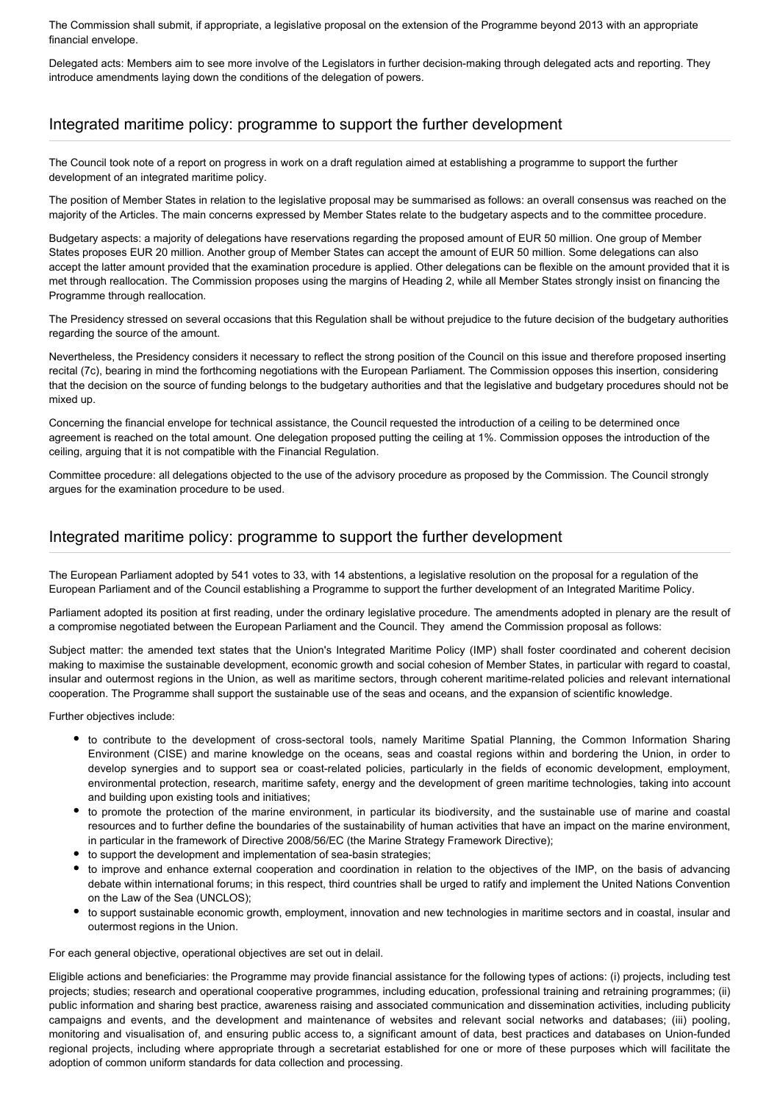The Commission shall submit, if appropriate, a legislative proposal on the extension of the Programme beyond 2013 with an appropriate financial envelope.

Delegated acts: Members aim to see more involve of the Legislators in further decision-making through delegated acts and reporting. They introduce amendments laying down the conditions of the delegation of powers.

# Integrated maritime policy: programme to support the further development

The Council took note of a report on progress in work on a draft regulation aimed at establishing a programme to support the further development of an integrated maritime policy.

The position of Member States in relation to the legislative proposal may be summarised as follows: an overall consensus was reached on the majority of the Articles. The main concerns expressed by Member States relate to the budgetary aspects and to the committee procedure.

Budgetary aspects: a majority of delegations have reservations regarding the proposed amount of EUR 50 million. One group of Member States proposes EUR 20 million. Another group of Member States can accept the amount of EUR 50 million. Some delegations can also accept the latter amount provided that the examination procedure is applied. Other delegations can be flexible on the amount provided that it is met through reallocation. The Commission proposes using the margins of Heading 2, while all Member States strongly insist on financing the Programme through reallocation.

The Presidency stressed on several occasions that this Regulation shall be without prejudice to the future decision of the budgetary authorities regarding the source of the amount.

Nevertheless, the Presidency considers it necessary to reflect the strong position of the Council on this issue and therefore proposed inserting recital (7c), bearing in mind the forthcoming negotiations with the European Parliament. The Commission opposes this insertion, considering that the decision on the source of funding belongs to the budgetary authorities and that the legislative and budgetary procedures should not be mixed up.

Concerning the financial envelope for technical assistance, the Council requested the introduction of a ceiling to be determined once agreement is reached on the total amount. One delegation proposed putting the ceiling at 1%. Commission opposes the introduction of the ceiling, arguing that it is not compatible with the Financial Regulation.

Committee procedure: all delegations objected to the use of the advisory procedure as proposed by the Commission. The Council strongly argues for the examination procedure to be used.

#### Integrated maritime policy: programme to support the further development

The European Parliament adopted by 541 votes to 33, with 14 abstentions, a legislative resolution on the proposal for a regulation of the European Parliament and of the Council establishing a Programme to support the further development of an Integrated Maritime Policy.

Parliament adopted its position at first reading, under the ordinary legislative procedure. The amendments adopted in plenary are the result of a compromise negotiated between the European Parliament and the Council. They amend the Commission proposal as follows:

Subject matter: the amended text states that the Union's Integrated Maritime Policy (IMP) shall foster coordinated and coherent decision making to maximise the sustainable development, economic growth and social cohesion of Member States, in particular with regard to coastal, insular and outermost regions in the Union, as well as maritime sectors, through coherent maritime-related policies and relevant international cooperation. The Programme shall support the sustainable use of the seas and oceans, and the expansion of scientific knowledge.

Further objectives include:

- to contribute to the development of cross-sectoral tools, namely Maritime Spatial Planning, the Common Information Sharing Environment (CISE) and marine knowledge on the oceans, seas and coastal regions within and bordering the Union, in order to develop synergies and to support sea or coast-related policies, particularly in the fields of economic development, employment, environmental protection, research, maritime safety, energy and the development of green maritime technologies, taking into account and building upon existing tools and initiatives;
- to promote the protection of the marine environment, in particular its biodiversity, and the sustainable use of marine and coastal resources and to further define the boundaries of the sustainability of human activities that have an impact on the marine environment, in particular in the framework of Directive 2008/56/EC (the Marine Strategy Framework Directive);
- to support the development and implementation of sea-basin strategies;
- to improve and enhance external cooperation and coordination in relation to the objectives of the IMP, on the basis of advancing debate within international forums; in this respect, third countries shall be urged to ratify and implement the United Nations Convention on the Law of the Sea (UNCLOS);
- to support sustainable economic growth, employment, innovation and new technologies in maritime sectors and in coastal, insular and outermost regions in the Union.

For each general objective, operational objectives are set out in delail.

Eligible actions and beneficiaries: the Programme may provide financial assistance for the following types of actions: (i) projects, including test projects; studies; research and operational cooperative programmes, including education, professional training and retraining programmes; (ii) public information and sharing best practice, awareness raising and associated communication and dissemination activities, including publicity campaigns and events, and the development and maintenance of websites and relevant social networks and databases; (iii) pooling, monitoring and visualisation of, and ensuring public access to, a significant amount of data, best practices and databases on Union-funded regional projects, including where appropriate through a secretariat established for one or more of these purposes which will facilitate the adoption of common uniform standards for data collection and processing.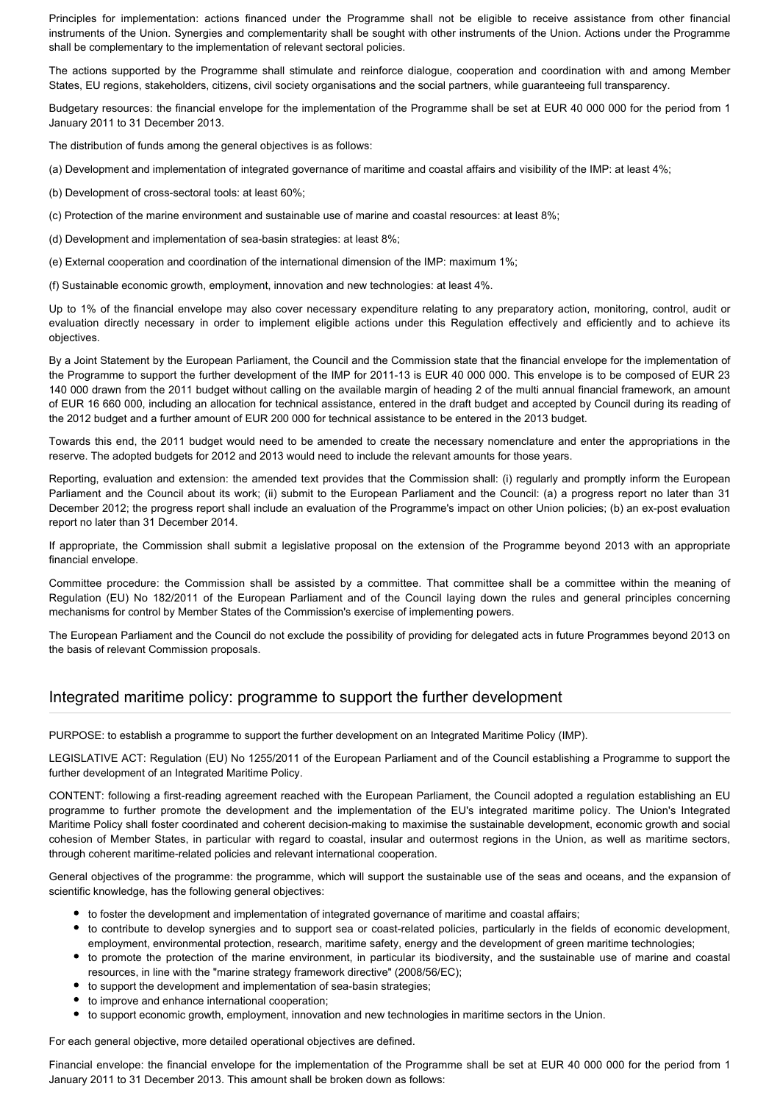Principles for implementation: actions financed under the Programme shall not be eligible to receive assistance from other financial instruments of the Union. Synergies and complementarity shall be sought with other instruments of the Union. Actions under the Programme shall be complementary to the implementation of relevant sectoral policies.

The actions supported by the Programme shall stimulate and reinforce dialogue, cooperation and coordination with and among Member States, EU regions, stakeholders, citizens, civil society organisations and the social partners, while guaranteeing full transparency.

Budgetary resources: the financial envelope for the implementation of the Programme shall be set at EUR 40 000 000 for the period from 1 January 2011 to 31 December 2013.

The distribution of funds among the general objectives is as follows:

(a) Development and implementation of integrated governance of maritime and coastal affairs and visibility of the IMP: at least 4%;

(b) Development of cross-sectoral tools: at least 60%;

(c) Protection of the marine environment and sustainable use of marine and coastal resources: at least 8%;

(d) Development and implementation of sea-basin strategies: at least 8%;

(e) External cooperation and coordination of the international dimension of the IMP: maximum 1%;

(f) Sustainable economic growth, employment, innovation and new technologies: at least 4%.

Up to 1% of the financial envelope may also cover necessary expenditure relating to any preparatory action, monitoring, control, audit or evaluation directly necessary in order to implement eligible actions under this Regulation effectively and efficiently and to achieve its objectives.

By a Joint Statement by the European Parliament, the Council and the Commission state that the financial envelope for the implementation of the Programme to support the further development of the IMP for 2011-13 is EUR 40 000 000. This envelope is to be composed of EUR 23 140 000 drawn from the 2011 budget without calling on the available margin of heading 2 of the multi annual financial framework, an amount of EUR 16 660 000, including an allocation for technical assistance, entered in the draft budget and accepted by Council during its reading of the 2012 budget and a further amount of EUR 200 000 for technical assistance to be entered in the 2013 budget.

Towards this end, the 2011 budget would need to be amended to create the necessary nomenclature and enter the appropriations in the reserve. The adopted budgets for 2012 and 2013 would need to include the relevant amounts for those years.

Reporting, evaluation and extension: the amended text provides that the Commission shall: (i) regularly and promptly inform the European Parliament and the Council about its work; (ii) submit to the European Parliament and the Council: (a) a progress report no later than 31 December 2012; the progress report shall include an evaluation of the Programme's impact on other Union policies; (b) an ex-post evaluation report no later than 31 December 2014.

If appropriate, the Commission shall submit a legislative proposal on the extension of the Programme beyond 2013 with an appropriate financial envelope.

Committee procedure: the Commission shall be assisted by a committee. That committee shall be a committee within the meaning of Regulation (EU) No 182/2011 of the European Parliament and of the Council laying down the rules and general principles concerning mechanisms for control by Member States of the Commission's exercise of implementing powers.

The European Parliament and the Council do not exclude the possibility of providing for delegated acts in future Programmes beyond 2013 on the basis of relevant Commission proposals.

# Integrated maritime policy: programme to support the further development

PURPOSE: to establish a programme to support the further development on an Integrated Maritime Policy (IMP).

LEGISLATIVE ACT: Regulation (EU) No 1255/2011 of the European Parliament and of the Council establishing a Programme to support the further development of an Integrated Maritime Policy.

CONTENT: following a first-reading agreement reached with the European Parliament, the Council adopted a regulation establishing an EU programme to further promote the development and the implementation of the EU's integrated maritime policy. The Union's Integrated Maritime Policy shall foster coordinated and coherent decision-making to maximise the sustainable development, economic growth and social cohesion of Member States, in particular with regard to coastal, insular and outermost regions in the Union, as well as maritime sectors, through coherent maritime-related policies and relevant international cooperation.

General objectives of the programme: the programme, which will support the sustainable use of the seas and oceans, and the expansion of scientific knowledge, has the following general objectives:

- to foster the development and implementation of integrated governance of maritime and coastal affairs;
- to contribute to develop synergies and to support sea or coast-related policies, particularly in the fields of economic development, employment, environmental protection, research, maritime safety, energy and the development of green maritime technologies;
- to promote the protection of the marine environment, in particular its biodiversity, and the sustainable use of marine and coastal resources, in line with the "marine strategy framework directive" (2008/56/EC);
- to support the development and implementation of sea-basin strategies;
- $\bullet$  to improve and enhance international cooperation;
- to support economic growth, employment, innovation and new technologies in maritime sectors in the Union.

For each general objective, more detailed operational objectives are defined.

Financial envelope: the financial envelope for the implementation of the Programme shall be set at EUR 40 000 000 for the period from 1 January 2011 to 31 December 2013. This amount shall be broken down as follows: